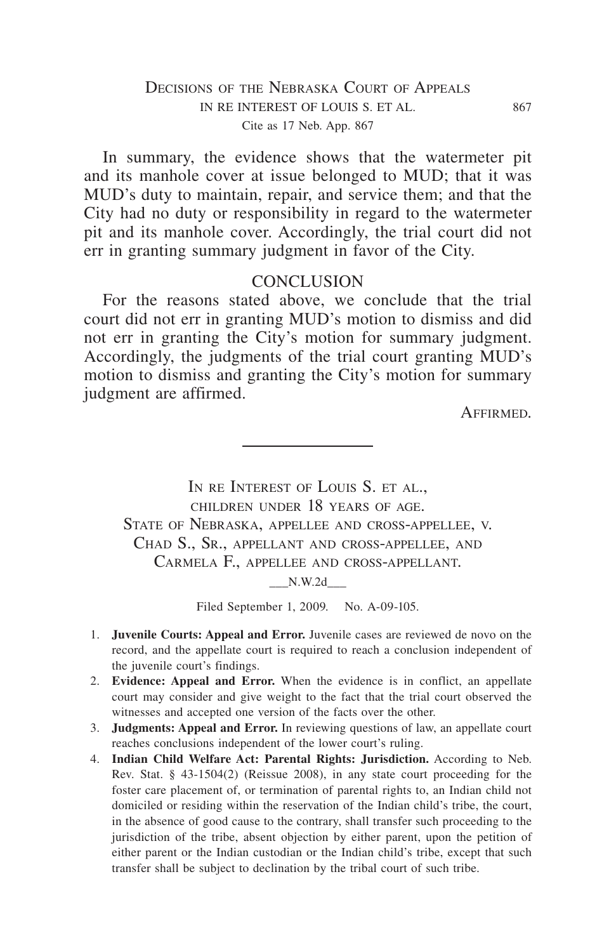### DECISIONS OF THE NEBRASKA COURT OF APPEALS IN RE INTEREST OF LOUIS S. ET AL. 867 Cite as 17 Neb. App. 867

In summary, the evidence shows that the watermeter pit and its manhole cover at issue belonged to MUD; that it was MUD's duty to maintain, repair, and service them; and that the City had no duty or responsibility in regard to the watermeter pit and its manhole cover. Accordingly, the trial court did not err in granting summary judgment in favor of the City.

#### **CONCLUSION**

For the reasons stated above, we conclude that the trial court did not err in granting MUD's motion to dismiss and did not err in granting the City's motion for summary judgment. Accordingly, the judgments of the trial court granting MUD's motion to dismiss and granting the City's motion for summary judgment are affirmed.

Affirmed.

IN RE INTEREST OF LOUIS S. ET AL. children under 18 years of age. State of Nebraska, appellee and cross-appellee, v. Chad S., Sr., appellant and cross-appellee, and Carmela F., appellee and cross-appellant.

 $N.W.2d$ 

Filed September 1, 2009. No. A-09-105.

- 1. **Juvenile Courts: Appeal and Error.** Juvenile cases are reviewed de novo on the record, and the appellate court is required to reach a conclusion independent of the juvenile court's findings.
- 2. **Evidence: Appeal and Error.** When the evidence is in conflict, an appellate court may consider and give weight to the fact that the trial court observed the witnesses and accepted one version of the facts over the other.
- 3. **Judgments: Appeal and Error.** In reviewing questions of law, an appellate court reaches conclusions independent of the lower court's ruling.
- 4. **Indian Child Welfare Act: Parental Rights: Jurisdiction.** According to Neb. Rev. Stat. § 43-1504(2) (Reissue 2008), in any state court proceeding for the foster care placement of, or termination of parental rights to, an Indian child not domiciled or residing within the reservation of the Indian child's tribe, the court, in the absence of good cause to the contrary, shall transfer such proceeding to the jurisdiction of the tribe, absent objection by either parent, upon the petition of either parent or the Indian custodian or the Indian child's tribe, except that such transfer shall be subject to declination by the tribal court of such tribe.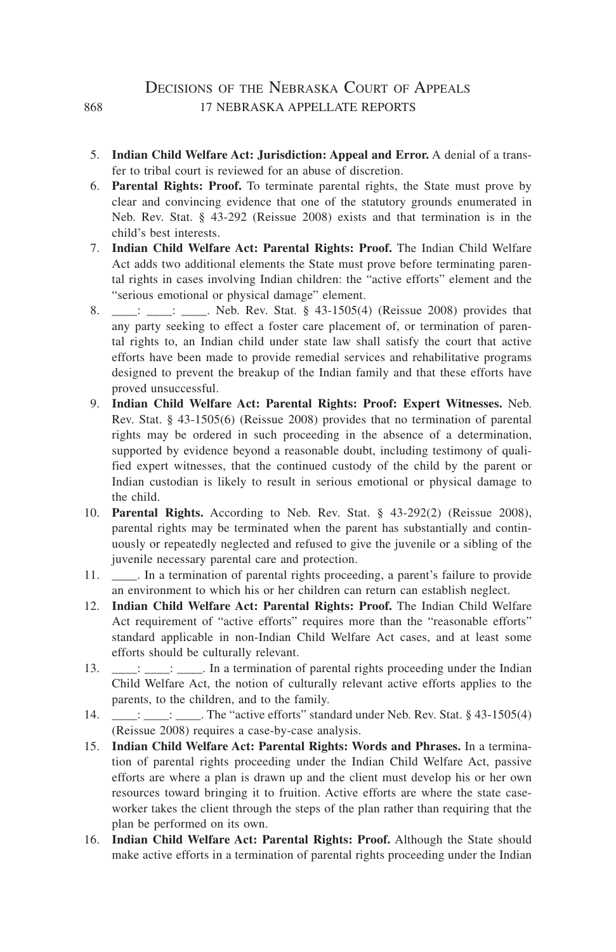#### DECISIONS OF THE NEBRASKA COURT OF APPEALS 868 17 NEBRASKA APPELLATE REPORTS

- 5. **Indian Child Welfare Act: Jurisdiction: Appeal and Error.** A denial of a transfer to tribal court is reviewed for an abuse of discretion.
- 6. **Parental Rights: Proof.** To terminate parental rights, the State must prove by clear and convincing evidence that one of the statutory grounds enumerated in Neb. Rev. Stat. § 43-292 (Reissue 2008) exists and that termination is in the child's best interests.
- 7. **Indian Child Welfare Act: Parental Rights: Proof.** The Indian Child Welfare Act adds two additional elements the State must prove before terminating parental rights in cases involving Indian children: the "active efforts" element and the "serious emotional or physical damage" element.
- 8. \_\_\_: \_\_\_: \_\_\_. Neb. Rev. Stat. § 43-1505(4) (Reissue 2008) provides that any party seeking to effect a foster care placement of, or termination of parental rights to, an Indian child under state law shall satisfy the court that active efforts have been made to provide remedial services and rehabilitative programs designed to prevent the breakup of the Indian family and that these efforts have proved unsuccessful.
- 9. **Indian Child Welfare Act: Parental Rights: Proof: Expert Witnesses.** Neb. Rev. Stat. § 43-1505(6) (Reissue 2008) provides that no termination of parental rights may be ordered in such proceeding in the absence of a determination, supported by evidence beyond a reasonable doubt, including testimony of qualified expert witnesses, that the continued custody of the child by the parent or Indian custodian is likely to result in serious emotional or physical damage to the child.
- 10. **Parental Rights.** According to Neb. Rev. Stat. § 43-292(2) (Reissue 2008), parental rights may be terminated when the parent has substantially and continuously or repeatedly neglected and refused to give the juvenile or a sibling of the juvenile necessary parental care and protection.
- 11. \_\_\_\_. In a termination of parental rights proceeding, a parent's failure to provide an environment to which his or her children can return can establish neglect.
- 12. **Indian Child Welfare Act: Parental Rights: Proof.** The Indian Child Welfare Act requirement of "active efforts" requires more than the "reasonable efforts" standard applicable in non-Indian Child Welfare Act cases, and at least some efforts should be culturally relevant.
- 13. \_\_\_: \_\_\_: \_\_\_. In a termination of parental rights proceeding under the Indian Child Welfare Act, the notion of culturally relevant active efforts applies to the parents, to the children, and to the family.
- 14. \_\_\_: \_\_\_: \_\_\_\_. The "active efforts" standard under Neb. Rev. Stat. § 43-1505(4) (Reissue 2008) requires a case-by-case analysis.
- 15. **Indian Child Welfare Act: Parental Rights: Words and Phrases.** In a termination of parental rights proceeding under the Indian Child Welfare Act, passive efforts are where a plan is drawn up and the client must develop his or her own resources toward bringing it to fruition. Active efforts are where the state caseworker takes the client through the steps of the plan rather than requiring that the plan be performed on its own.
- 16. **Indian Child Welfare Act: Parental Rights: Proof.** Although the State should make active efforts in a termination of parental rights proceeding under the Indian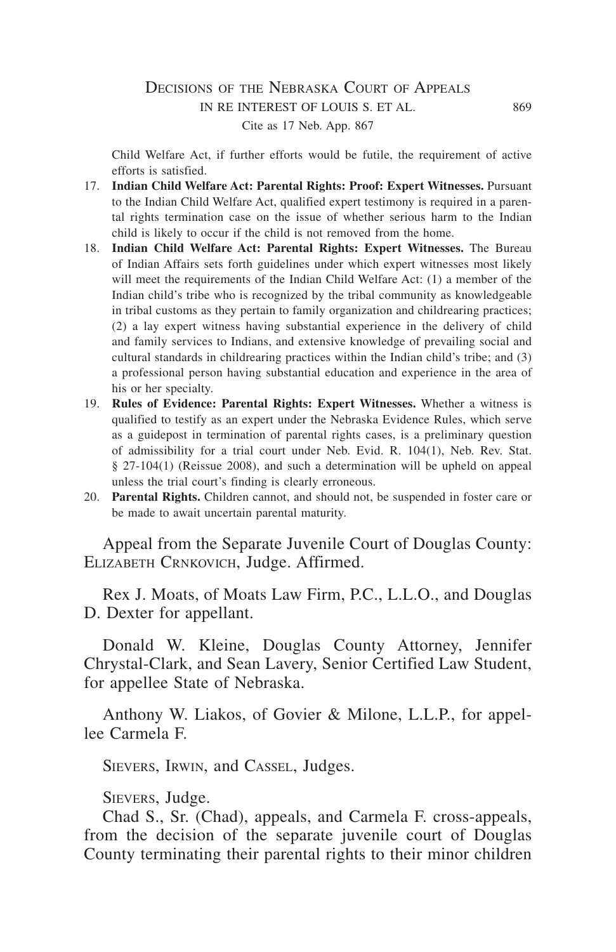#### DECISIONS OF THE NEBRASKA COURT OF APPEALS in re interest of louis s. et al. 869 Cite as 17 Neb. App. 867

Child Welfare Act, if further efforts would be futile, the requirement of active efforts is satisfied.

- 17. **Indian Child Welfare Act: Parental Rights: Proof: Expert Witnesses.** Pursuant to the Indian Child Welfare Act, qualified expert testimony is required in a parental rights termination case on the issue of whether serious harm to the Indian child is likely to occur if the child is not removed from the home.
- 18. **Indian Child Welfare Act: Parental Rights: Expert Witnesses.** The Bureau of Indian Affairs sets forth guidelines under which expert witnesses most likely will meet the requirements of the Indian Child Welfare Act: (1) a member of the Indian child's tribe who is recognized by the tribal community as knowledgeable in tribal customs as they pertain to family organization and childrearing practices; (2) a lay expert witness having substantial experience in the delivery of child and family services to Indians, and extensive knowledge of prevailing social and cultural standards in childrearing practices within the Indian child's tribe; and (3) a professional person having substantial education and experience in the area of his or her specialty.
- 19. **Rules of Evidence: Parental Rights: Expert Witnesses.** Whether a witness is qualified to testify as an expert under the Nebraska Evidence Rules, which serve as a guidepost in termination of parental rights cases, is a preliminary question of admissibility for a trial court under Neb. Evid. R. 104(1), Neb. Rev. Stat. § 27-104(1) (Reissue 2008), and such a determination will be upheld on appeal unless the trial court's finding is clearly erroneous.
- 20. **Parental Rights.** Children cannot, and should not, be suspended in foster care or be made to await uncertain parental maturity.

Appeal from the Separate Juvenile Court of Douglas County: ELIZABETH CRNKOVICH, Judge. Affirmed.

Rex J. Moats, of Moats Law Firm, P.C., L.L.O., and Douglas D. Dexter for appellant.

Donald W. Kleine, Douglas County Attorney, Jennifer Chrystal-Clark, and Sean Lavery, Senior Certified Law Student, for appellee State of Nebraska.

Anthony W. Liakos, of Govier & Milone, L.L.P., for appellee Carmela F.

Sievers, Irwin, and Cassel, Judges.

Sievers, Judge.

Chad S., Sr. (Chad), appeals, and Carmela F. cross-appeals, from the decision of the separate juvenile court of Douglas County terminating their parental rights to their minor children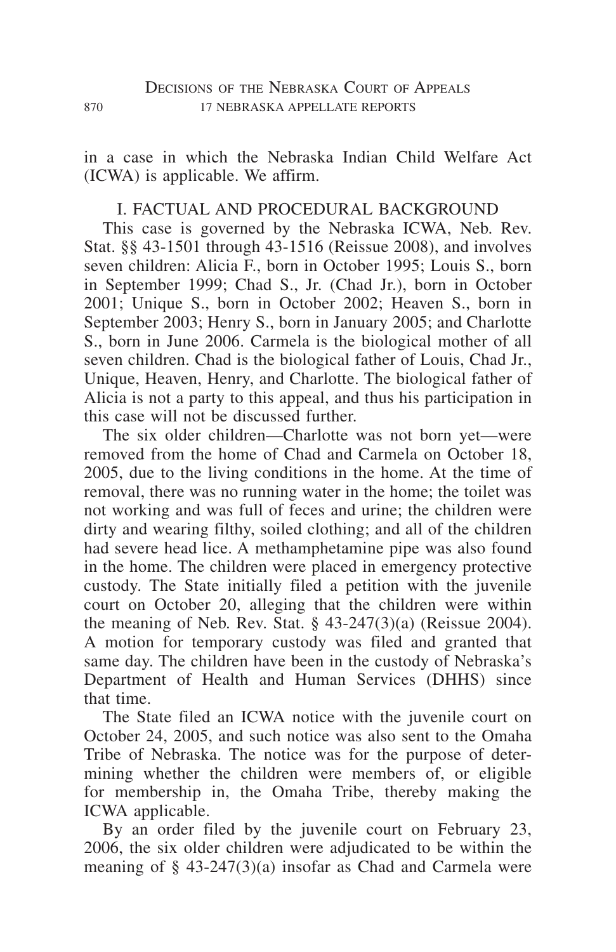in a case in which the Nebraska Indian Child Welfare Act (ICWA) is applicable. We affirm.

# I. FACTUAL AND PROCEDURAL BACKGROUND

This case is governed by the Nebraska ICWA, Neb. Rev. Stat. §§ 43-1501 through 43-1516 (Reissue 2008), and involves seven children: Alicia F., born in October 1995; Louis S., born in September 1999; Chad S., Jr. (Chad Jr.), born in October 2001; Unique S., born in October 2002; Heaven S., born in September 2003; Henry S., born in January 2005; and Charlotte S., born in June 2006. Carmela is the biological mother of all seven children. Chad is the biological father of Louis, Chad Jr., Unique, Heaven, Henry, and Charlotte. The biological father of Alicia is not a party to this appeal, and thus his participation in this case will not be discussed further.

The six older children—Charlotte was not born yet—were removed from the home of Chad and Carmela on October 18, 2005, due to the living conditions in the home. At the time of removal, there was no running water in the home; the toilet was not working and was full of feces and urine; the children were dirty and wearing filthy, soiled clothing; and all of the children had severe head lice. A methamphetamine pipe was also found in the home. The children were placed in emergency protective custody. The State initially filed a petition with the juvenile court on October 20, alleging that the children were within the meaning of Neb. Rev. Stat.  $\S$  43-247(3)(a) (Reissue 2004). A motion for temporary custody was filed and granted that same day. The children have been in the custody of Nebraska's Department of Health and Human Services (DHHS) since that time.

The State filed an ICWA notice with the juvenile court on October 24, 2005, and such notice was also sent to the Omaha Tribe of Nebraska. The notice was for the purpose of determining whether the children were members of, or eligible for membership in, the Omaha Tribe, thereby making the ICWA applicable.

By an order filed by the juvenile court on February 23, 2006, the six older children were adjudicated to be within the meaning of  $\S$  43-247(3)(a) insofar as Chad and Carmela were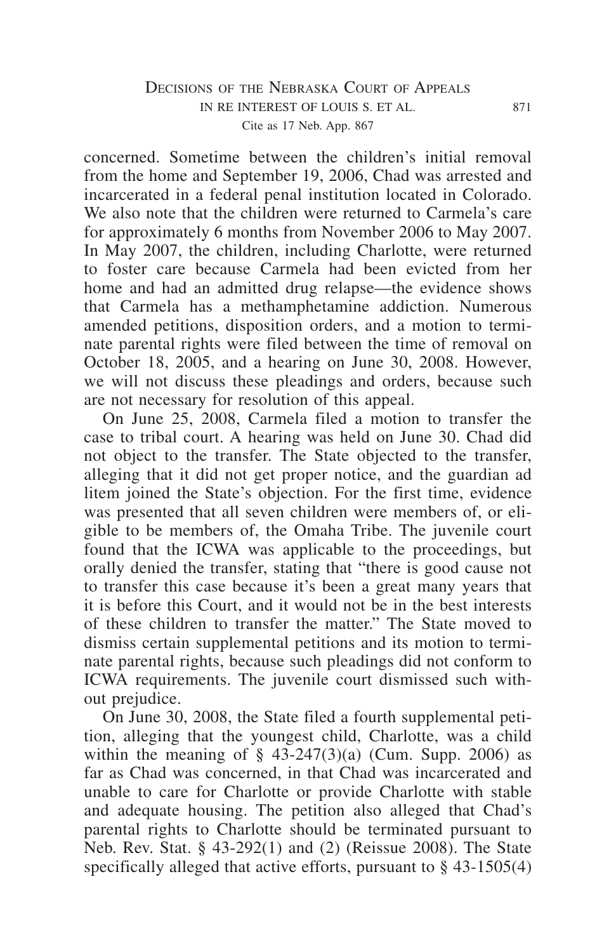## DECISIONS OF THE NEBRASKA COURT OF APPEALS in re interest of louis s. et al. 871 Cite as 17 Neb. App. 867

concerned. Sometime between the children's initial removal from the home and September 19, 2006, Chad was arrested and incarcerated in a federal penal institution located in Colorado. We also note that the children were returned to Carmela's care for approximately 6 months from November 2006 to May 2007. In May 2007, the children, including Charlotte, were returned to foster care because Carmela had been evicted from her home and had an admitted drug relapse—the evidence shows that Carmela has a methamphetamine addiction. Numerous amended petitions, disposition orders, and a motion to terminate parental rights were filed between the time of removal on October 18, 2005, and a hearing on June 30, 2008. However, we will not discuss these pleadings and orders, because such are not necessary for resolution of this appeal.

On June 25, 2008, Carmela filed a motion to transfer the case to tribal court. A hearing was held on June 30. Chad did not object to the transfer. The State objected to the transfer, alleging that it did not get proper notice, and the guardian ad litem joined the State's objection. For the first time, evidence was presented that all seven children were members of, or eligible to be members of, the Omaha Tribe. The juvenile court found that the ICWA was applicable to the proceedings, but orally denied the transfer, stating that "there is good cause not to transfer this case because it's been a great many years that it is before this Court, and it would not be in the best interests of these children to transfer the matter." The State moved to dismiss certain supplemental petitions and its motion to terminate parental rights, because such pleadings did not conform to ICWA requirements. The juvenile court dismissed such without prejudice.

On June 30, 2008, the State filed a fourth supplemental petition, alleging that the youngest child, Charlotte, was a child within the meaning of  $\S$  43-247(3)(a) (Cum. Supp. 2006) as far as Chad was concerned, in that Chad was incarcerated and unable to care for Charlotte or provide Charlotte with stable and adequate housing. The petition also alleged that Chad's parental rights to Charlotte should be terminated pursuant to Neb. Rev. Stat. § 43-292(1) and (2) (Reissue 2008). The State specifically alleged that active efforts, pursuant to § 43-1505(4)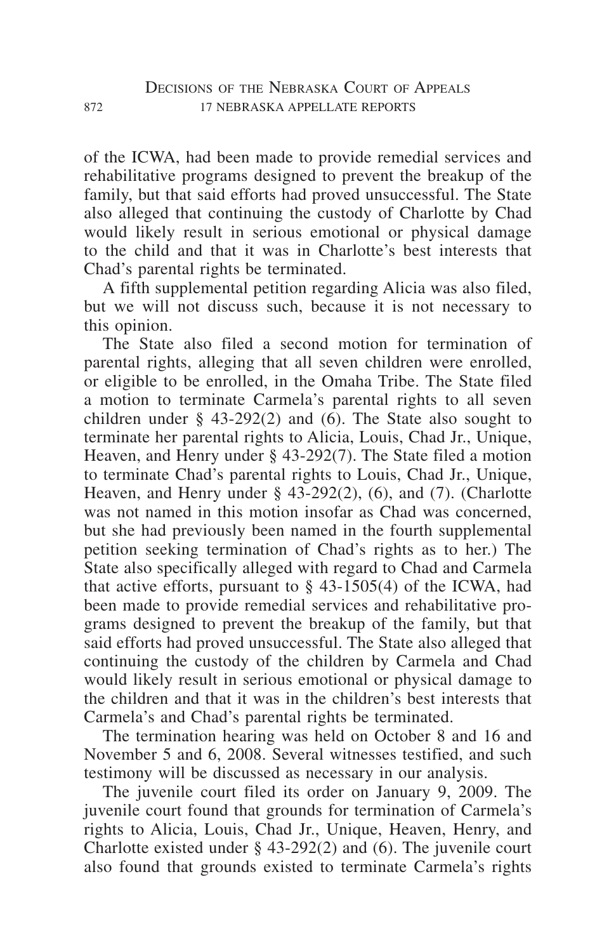of the ICWA, had been made to provide remedial services and rehabilitative programs designed to prevent the breakup of the family, but that said efforts had proved unsuccessful. The State also alleged that continuing the custody of Charlotte by Chad would likely result in serious emotional or physical damage to the child and that it was in Charlotte's best interests that Chad's parental rights be terminated.

A fifth supplemental petition regarding Alicia was also filed, but we will not discuss such, because it is not necessary to this opinion.

The State also filed a second motion for termination of parental rights, alleging that all seven children were enrolled, or eligible to be enrolled, in the Omaha Tribe. The State filed a motion to terminate Carmela's parental rights to all seven children under § 43-292(2) and  $(6)$ . The State also sought to terminate her parental rights to Alicia, Louis, Chad Jr., Unique, Heaven, and Henry under § 43-292(7). The State filed a motion to terminate Chad's parental rights to Louis, Chad Jr., Unique, Heaven, and Henry under § 43-292(2), (6), and (7). (Charlotte was not named in this motion insofar as Chad was concerned. but she had previously been named in the fourth supplemental petition seeking termination of Chad's rights as to her.) The State also specifically alleged with regard to Chad and Carmela that active efforts, pursuant to  $\S$  43-1505(4) of the ICWA, had been made to provide remedial services and rehabilitative programs designed to prevent the breakup of the family, but that said efforts had proved unsuccessful. The State also alleged that continuing the custody of the children by Carmela and Chad would likely result in serious emotional or physical damage to the children and that it was in the children's best interests that Carmela's and Chad's parental rights be terminated.

The termination hearing was held on October 8 and 16 and November 5 and 6, 2008. Several witnesses testified, and such testimony will be discussed as necessary in our analysis.

The juvenile court filed its order on January 9, 2009. The juvenile court found that grounds for termination of Carmela's rights to Alicia, Louis, Chad Jr., Unique, Heaven, Henry, and Charlotte existed under § 43-292(2) and (6). The juvenile court also found that grounds existed to terminate Carmela's rights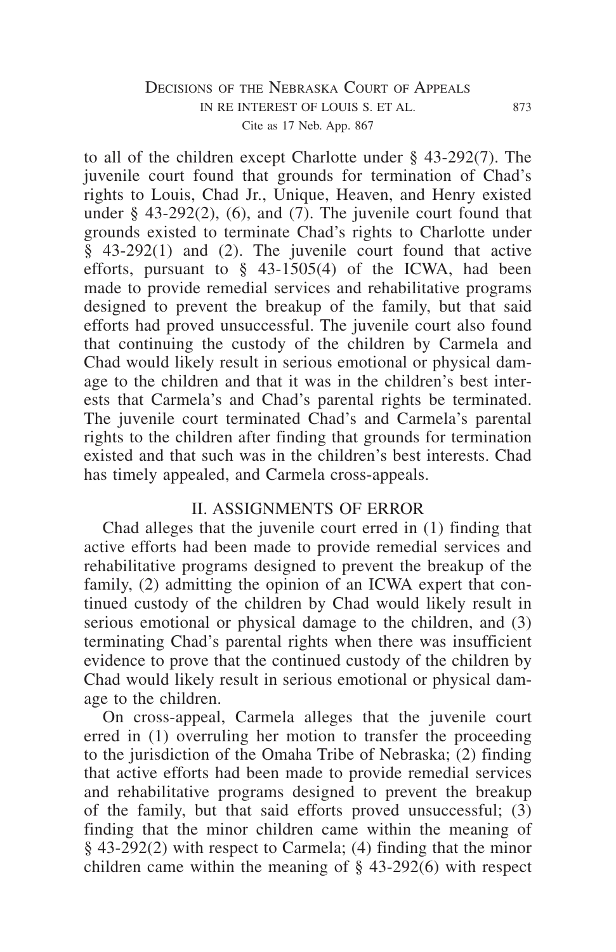# DECISIONS OF THE NEBRASKA COURT OF APPEALS in re interest of louis s. et al. 873 Cite as 17 Neb. App. 867

to all of the children except Charlotte under § 43-292(7). The juvenile court found that grounds for termination of Chad's rights to Louis, Chad Jr., Unique, Heaven, and Henry existed under  $\S$  43-292(2), (6), and (7). The juvenile court found that grounds existed to terminate Chad's rights to Charlotte under § 43-292(1) and (2). The juvenile court found that active efforts, pursuant to  $\S$  43-1505(4) of the ICWA, had been made to provide remedial services and rehabilitative programs designed to prevent the breakup of the family, but that said efforts had proved unsuccessful. The juvenile court also found that continuing the custody of the children by Carmela and Chad would likely result in serious emotional or physical damage to the children and that it was in the children's best interests that Carmela's and Chad's parental rights be terminated. The juvenile court terminated Chad's and Carmela's parental rights to the children after finding that grounds for termination existed and that such was in the children's best interests. Chad has timely appealed, and Carmela cross-appeals.

#### II. ASSIGNMENTS OF ERROR

Chad alleges that the juvenile court erred in (1) finding that active efforts had been made to provide remedial services and rehabilitative programs designed to prevent the breakup of the family, (2) admitting the opinion of an ICWA expert that continued custody of the children by Chad would likely result in serious emotional or physical damage to the children, and (3) terminating Chad's parental rights when there was insufficient evidence to prove that the continued custody of the children by Chad would likely result in serious emotional or physical damage to the children.

On cross-appeal, Carmela alleges that the juvenile court erred in (1) overruling her motion to transfer the proceeding to the jurisdiction of the Omaha Tribe of Nebraska; (2) finding that active efforts had been made to provide remedial services and rehabilitative programs designed to prevent the breakup of the family, but that said efforts proved unsuccessful;  $(3)$ finding that the minor children came within the meaning of § 43-292(2) with respect to Carmela; (4) finding that the minor children came within the meaning of § 43-292(6) with respect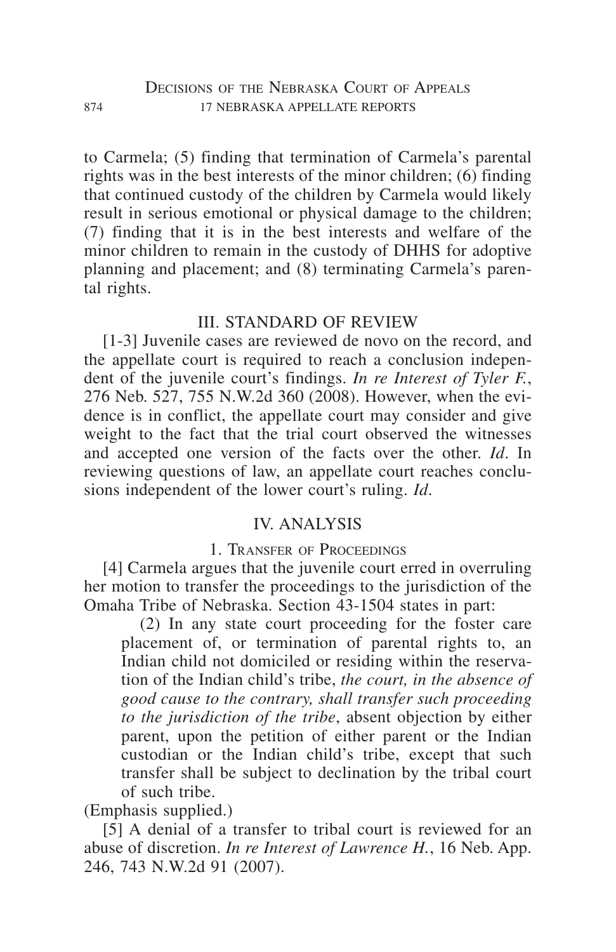to Carmela; (5) finding that termination of Carmela's parental rights was in the best interests of the minor children; (6) finding that continued custody of the children by Carmela would likely result in serious emotional or physical damage to the children; (7) finding that it is in the best interests and welfare of the minor children to remain in the custody of DHHS for adoptive planning and placement; and (8) terminating Carmela's parental rights.

# III. STANDARD OF REVIEW

[1-3] Juvenile cases are reviewed de novo on the record, and the appellate court is required to reach a conclusion independent of the juvenile court's findings. *In re Interest of Tyler F.*, 276 Neb. 527, 755 N.W.2d 360 (2008). However, when the evidence is in conflict, the appellate court may consider and give weight to the fact that the trial court observed the witnesses and accepted one version of the facts over the other. *Id*. In reviewing questions of law, an appellate court reaches conclusions independent of the lower court's ruling. *Id*.

# IV. ANALYSIS

## 1. Transfer of Proceedings

[4] Carmela argues that the juvenile court erred in overruling her motion to transfer the proceedings to the jurisdiction of the Omaha Tribe of Nebraska. Section 43-1504 states in part:

(2) In any state court proceeding for the foster care placement of, or termination of parental rights to, an Indian child not domiciled or residing within the reservation of the Indian child's tribe, *the court, in the absence of good cause to the contrary, shall transfer such proceeding to the jurisdiction of the tribe*, absent objection by either parent, upon the petition of either parent or the Indian custodian or the Indian child's tribe, except that such transfer shall be subject to declination by the tribal court of such tribe.

(Emphasis supplied.)

[5] A denial of a transfer to tribal court is reviewed for an abuse of discretion. *In re Interest of Lawrence H.*, 16 Neb. App. 246, 743 N.W.2d 91 (2007).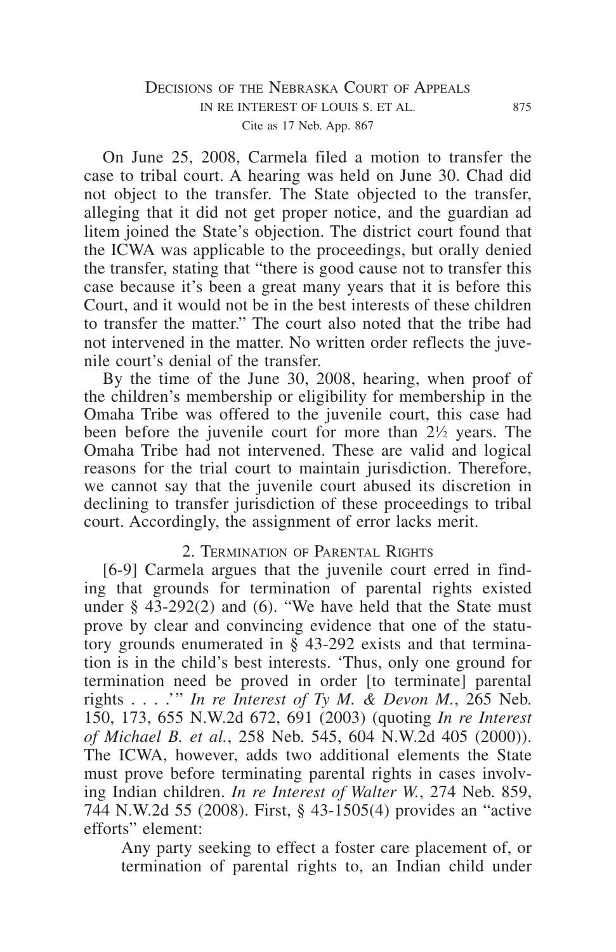### DECISIONS OF THE NEBRASKA COURT OF APPEALS in re interest of louis s. et al. 875 Cite as 17 Neb. App. 867

On June 25, 2008, Carmela filed a motion to transfer the case to tribal court. A hearing was held on June 30. Chad did not object to the transfer. The State objected to the transfer, alleging that it did not get proper notice, and the guardian ad litem joined the State's objection. The district court found that the ICWA was applicable to the proceedings, but orally denied the transfer, stating that "there is good cause not to transfer this case because it's been a great many years that it is before this Court, and it would not be in the best interests of these children to transfer the matter." The court also noted that the tribe had not intervened in the matter. No written order reflects the juvenile court's denial of the transfer.

By the time of the June 30, 2008, hearing, when proof of the children's membership or eligibility for membership in the Omaha Tribe was offered to the juvenile court, this case had been before the juvenile court for more than  $2\frac{1}{2}$  years. The Omaha Tribe had not intervened. These are valid and logical reasons for the trial court to maintain jurisdiction. Therefore, we cannot say that the juvenile court abused its discretion in declining to transfer jurisdiction of these proceedings to tribal court. Accordingly, the assignment of error lacks merit.

#### 2. Termination of Parental Rights

[6-9] Carmela argues that the juvenile court erred in finding that grounds for termination of parental rights existed under § 43-292(2) and (6). "We have held that the State must prove by clear and convincing evidence that one of the statutory grounds enumerated in § 43-292 exists and that termination is in the child's best interests. 'Thus, only one ground for termination need be proved in order [to terminate] parental rights . . . .'" *In re Interest of Ty M. & Devon M.*, 265 Neb. 150, 173, 655 N.W.2d 672, 691 (2003) (quoting *In re Interest of Michael B. et al.*, 258 Neb. 545, 604 N.W.2d 405 (2000)). The ICWA, however, adds two additional elements the State must prove before terminating parental rights in cases involving Indian children. *In re Interest of Walter W.*, 274 Neb. 859, 744 N.W.2d 55 (2008). First, § 43-1505(4) provides an "active efforts" element:

Any party seeking to effect a foster care placement of, or termination of parental rights to, an Indian child under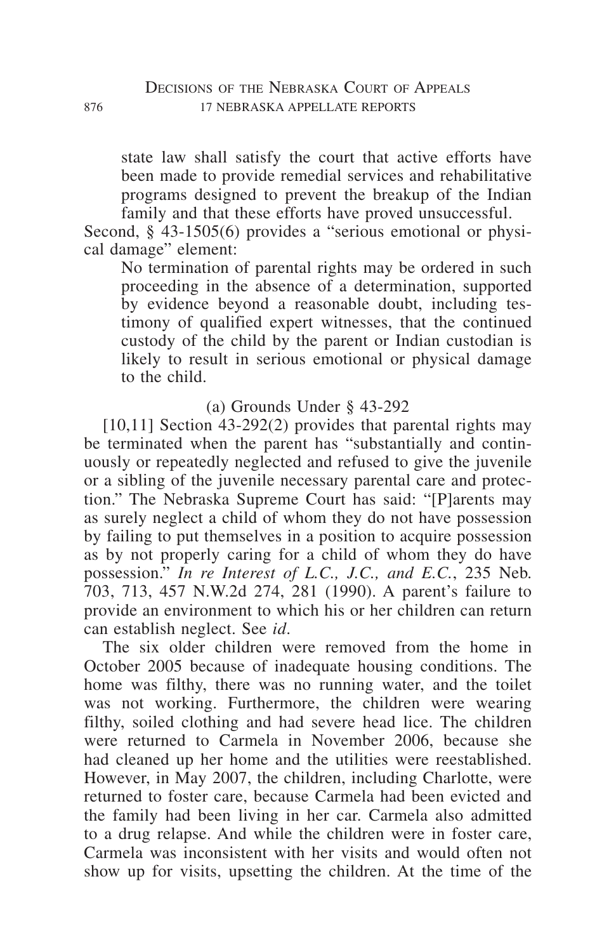state law shall satisfy the court that active efforts have been made to provide remedial services and rehabilitative programs designed to prevent the breakup of the Indian family and that these efforts have proved unsuccessful.

Second, § 43-1505(6) provides a "serious emotional or physical damage" element:

No termination of parental rights may be ordered in such proceeding in the absence of a determination, supported by evidence beyond a reasonable doubt, including testimony of qualified expert witnesses, that the continued custody of the child by the parent or Indian custodian is likely to result in serious emotional or physical damage to the child.

(a) Grounds Under § 43-292

 $[10,11]$  Section 43-292(2) provides that parental rights may be terminated when the parent has "substantially and continuously or repeatedly neglected and refused to give the juvenile or a sibling of the juvenile necessary parental care and protection." The Nebraska Supreme Court has said: "[P]arents may as surely neglect a child of whom they do not have possession by failing to put themselves in a position to acquire possession as by not properly caring for a child of whom they do have possession." *In re Interest of L.C., J.C., and E.C.*, 235 Neb. 703, 713, 457 N.W.2d 274, 281 (1990). A parent's failure to provide an environment to which his or her children can return can establish neglect. See *id*.

The six older children were removed from the home in October 2005 because of inadequate housing conditions. The home was filthy, there was no running water, and the toilet was not working. Furthermore, the children were wearing filthy, soiled clothing and had severe head lice. The children were returned to Carmela in November 2006, because she had cleaned up her home and the utilities were reestablished. However, in May 2007, the children, including Charlotte, were returned to foster care, because Carmela had been evicted and the family had been living in her car. Carmela also admitted to a drug relapse. And while the children were in foster care, Carmela was inconsistent with her visits and would often not show up for visits, upsetting the children. At the time of the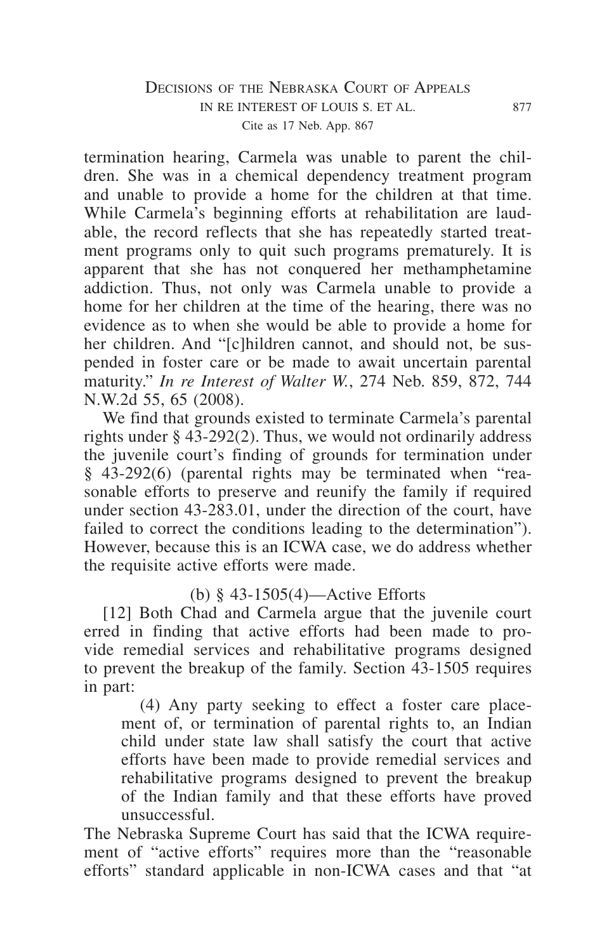# DECISIONS OF THE NEBRASKA COURT OF APPEALS in re interest of louis s. et al. 877 Cite as 17 Neb. App. 867

termination hearing, Carmela was unable to parent the children. She was in a chemical dependency treatment program and unable to provide a home for the children at that time. While Carmela's beginning efforts at rehabilitation are laudable, the record reflects that she has repeatedly started treatment programs only to quit such programs prematurely. It is apparent that she has not conquered her methamphetamine addiction. Thus, not only was Carmela unable to provide a home for her children at the time of the hearing, there was no evidence as to when she would be able to provide a home for her children. And "[c]hildren cannot, and should not, be suspended in foster care or be made to await uncertain parental maturity." *In re Interest of Walter W.*, 274 Neb. 859, 872, 744 N.W.2d 55, 65 (2008).

We find that grounds existed to terminate Carmela's parental rights under § 43-292(2). Thus, we would not ordinarily address the juvenile court's finding of grounds for termination under § 43-292(6) (parental rights may be terminated when "reasonable efforts to preserve and reunify the family if required under section 43-283.01, under the direction of the court, have failed to correct the conditions leading to the determination"). However, because this is an ICWA case, we do address whether the requisite active efforts were made.

# (b) § 43-1505(4)—Active Efforts

[12] Both Chad and Carmela argue that the juvenile court erred in finding that active efforts had been made to provide remedial services and rehabilitative programs designed to prevent the breakup of the family. Section 43-1505 requires in part:

(4) Any party seeking to effect a foster care placement of, or termination of parental rights to, an Indian child under state law shall satisfy the court that active efforts have been made to provide remedial services and rehabilitative programs designed to prevent the breakup of the Indian family and that these efforts have proved unsuccessful.

The Nebraska Supreme Court has said that the ICWA requirement of "active efforts" requires more than the "reasonable efforts" standard applicable in non-ICWA cases and that "at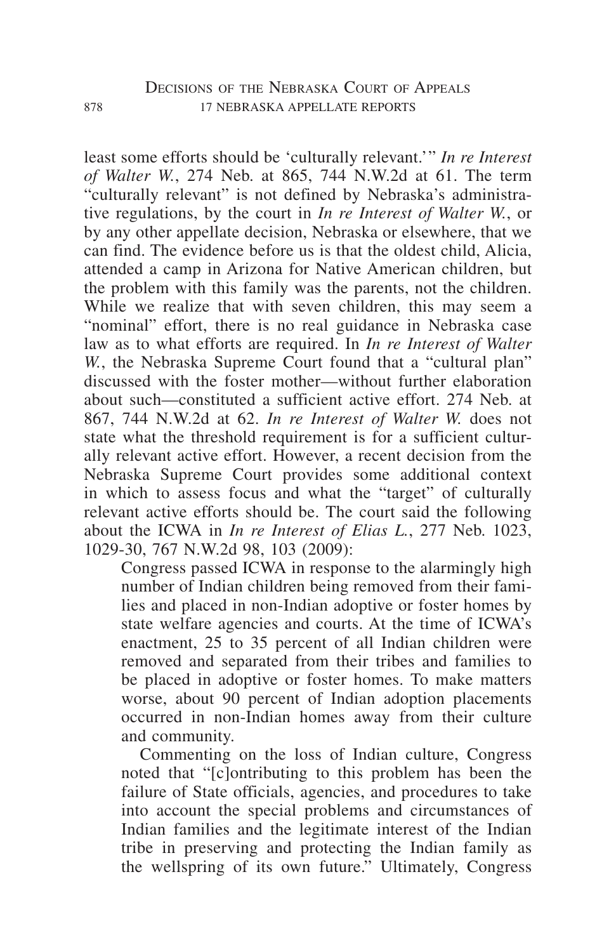least some efforts should be 'culturally relevant.'" *In re Interest of Walter W.*, 274 Neb. at 865, 744 N.W.2d at 61. The term "culturally relevant" is not defined by Nebraska's administrative regulations, by the court in *In re Interest of Walter W.*, or by any other appellate decision, Nebraska or elsewhere, that we can find. The evidence before us is that the oldest child, Alicia, attended a camp in Arizona for Native American children, but the problem with this family was the parents, not the children. While we realize that with seven children, this may seem a "nominal" effort, there is no real guidance in Nebraska case law as to what efforts are required. In *In re Interest of Walter W.*, the Nebraska Supreme Court found that a "cultural plan" discussed with the foster mother—without further elaboration about such—constituted a sufficient active effort. 274 Neb. at 867, 744 N.W.2d at 62. *In re Interest of Walter W.* does not state what the threshold requirement is for a sufficient culturally relevant active effort. However, a recent decision from the Nebraska Supreme Court provides some additional context in which to assess focus and what the "target" of culturally relevant active efforts should be. The court said the following about the ICWA in *In re Interest of Elias L.*, 277 Neb. 1023, 1029-30, 767 N.W.2d 98, 103 (2009):

Congress passed ICWA in response to the alarmingly high number of Indian children being removed from their families and placed in non-Indian adoptive or foster homes by state welfare agencies and courts. At the time of ICWA's enactment, 25 to 35 percent of all Indian children were removed and separated from their tribes and families to be placed in adoptive or foster homes. To make matters worse, about 90 percent of Indian adoption placements occurred in non-Indian homes away from their culture and community.

Commenting on the loss of Indian culture, Congress noted that "[c]ontributing to this problem has been the failure of State officials, agencies, and procedures to take into account the special problems and circumstances of Indian families and the legitimate interest of the Indian tribe in preserving and protecting the Indian family as the wellspring of its own future." Ultimately, Congress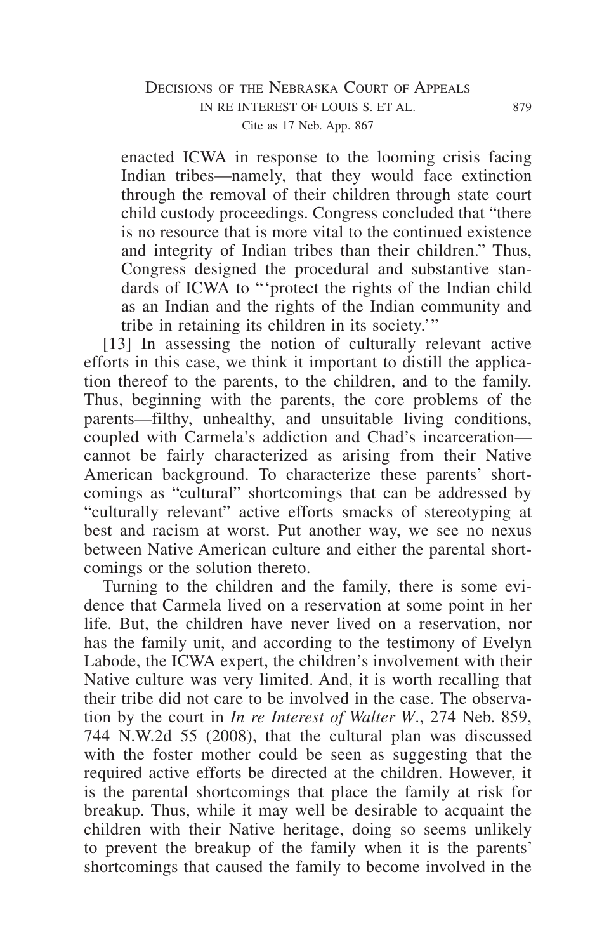## DECISIONS OF THE NEBRASKA COURT OF APPEALS in re interest of louis s. et al. 879 Cite as 17 Neb. App. 867

enacted ICWA in response to the looming crisis facing Indian tribes—namely, that they would face extinction through the removal of their children through state court child custody proceedings. Congress concluded that "there is no resource that is more vital to the continued existence and integrity of Indian tribes than their children." Thus, Congress designed the procedural and substantive standards of ICWA to "'protect the rights of the Indian child as an Indian and the rights of the Indian community and tribe in retaining its children in its society.'"

[13] In assessing the notion of culturally relevant active efforts in this case, we think it important to distill the application thereof to the parents, to the children, and to the family. Thus, beginning with the parents, the core problems of the parents—filthy, unhealthy, and unsuitable living conditions, coupled with Carmela's addiction and Chad's incarceration cannot be fairly characterized as arising from their Native American background. To characterize these parents' shortcomings as "cultural" shortcomings that can be addressed by "culturally relevant" active efforts smacks of stereotyping at best and racism at worst. Put another way, we see no nexus between Native American culture and either the parental shortcomings or the solution thereto.

Turning to the children and the family, there is some evidence that Carmela lived on a reservation at some point in her life. But, the children have never lived on a reservation, nor has the family unit, and according to the testimony of Evelyn Labode, the ICWA expert, the children's involvement with their Native culture was very limited. And, it is worth recalling that their tribe did not care to be involved in the case. The observation by the court in *In re Interest of Walter W*., 274 Neb. 859, 744 N.W.2d 55 (2008), that the cultural plan was discussed with the foster mother could be seen as suggesting that the required active efforts be directed at the children. However, it is the parental shortcomings that place the family at risk for breakup. Thus, while it may well be desirable to acquaint the children with their Native heritage, doing so seems unlikely to prevent the breakup of the family when it is the parents' shortcomings that caused the family to become involved in the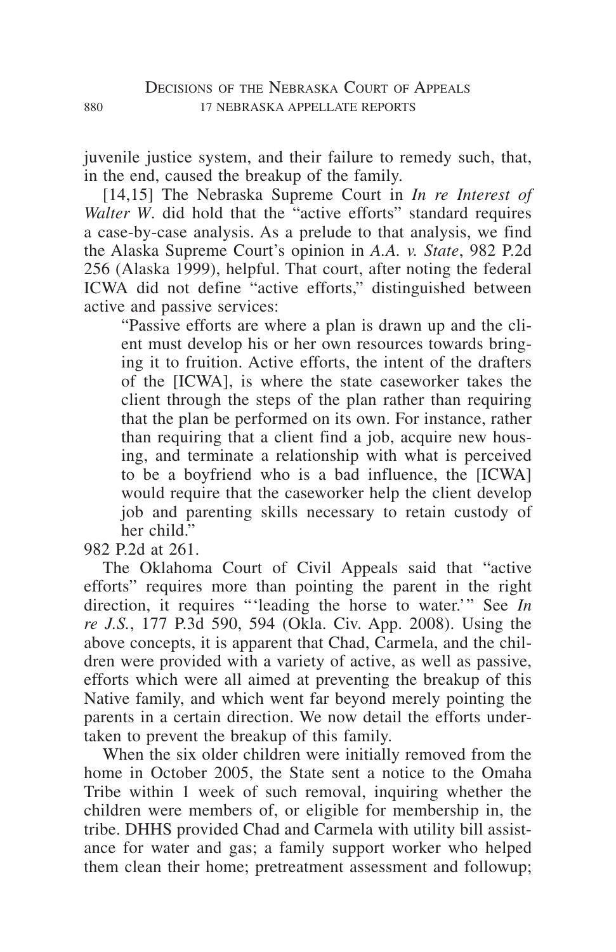juvenile justice system, and their failure to remedy such, that, in the end, caused the breakup of the family.

[14,15] The Nebraska Supreme Court in *In re Interest of Walter W*. did hold that the "active efforts" standard requires a case-by-case analysis. As a prelude to that analysis, we find the Alaska Supreme Court's opinion in *A.A. v. State*, 982 P.2d 256 (Alaska 1999), helpful. That court, after noting the federal ICWA did not define "active efforts," distinguished between active and passive services:

"Passive efforts are where a plan is drawn up and the client must develop his or her own resources towards bringing it to fruition. Active efforts, the intent of the drafters of the [ICWA], is where the state caseworker takes the client through the steps of the plan rather than requiring that the plan be performed on its own. For instance, rather than requiring that a client find a job, acquire new housing, and terminate a relationship with what is perceived to be a boyfriend who is a bad influence, the [ICWA] would require that the caseworker help the client develop job and parenting skills necessary to retain custody of her child"

982 P.2d at 261.

The Oklahoma Court of Civil Appeals said that "active efforts" requires more than pointing the parent in the right direction, it requires "'leading the horse to water.'" See *In re J.S.*, 177 P.3d 590, 594 (Okla. Civ. App. 2008). Using the above concepts, it is apparent that Chad, Carmela, and the children were provided with a variety of active, as well as passive, efforts which were all aimed at preventing the breakup of this Native family, and which went far beyond merely pointing the parents in a certain direction. We now detail the efforts undertaken to prevent the breakup of this family.

When the six older children were initially removed from the home in October 2005, the State sent a notice to the Omaha Tribe within 1 week of such removal, inquiring whether the children were members of, or eligible for membership in, the tribe. DHHS provided Chad and Carmela with utility bill assistance for water and gas; a family support worker who helped them clean their home; pretreatment assessment and followup;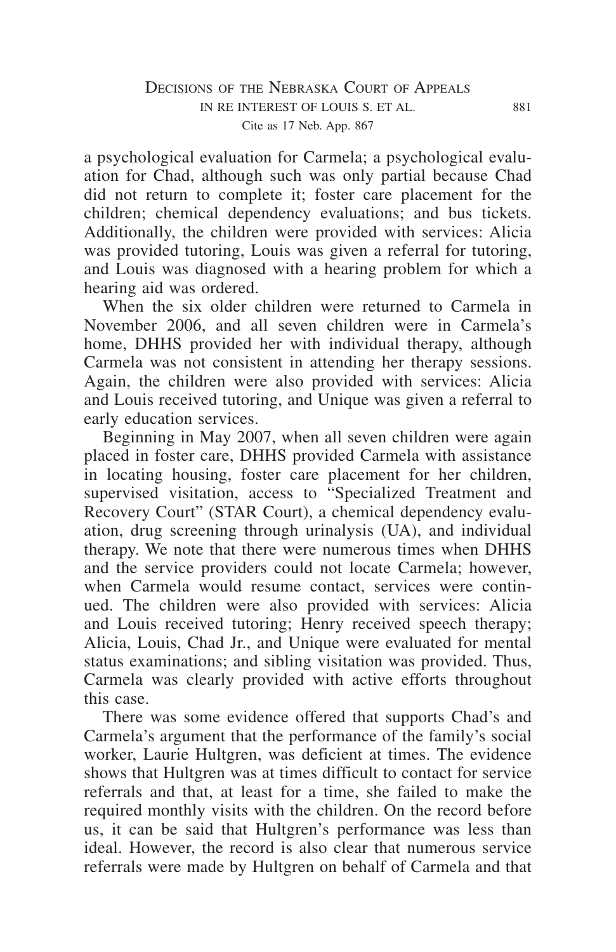a psychological evaluation for Carmela; a psychological evaluation for Chad, although such was only partial because Chad did not return to complete it; foster care placement for the children; chemical dependency evaluations; and bus tickets. Additionally, the children were provided with services: Alicia was provided tutoring, Louis was given a referral for tutoring, and Louis was diagnosed with a hearing problem for which a hearing aid was ordered.

When the six older children were returned to Carmela in November 2006, and all seven children were in Carmela's home, DHHS provided her with individual therapy, although Carmela was not consistent in attending her therapy sessions. Again, the children were also provided with services: Alicia and Louis received tutoring, and Unique was given a referral to early education services.

Beginning in May 2007, when all seven children were again placed in foster care, DHHS provided Carmela with assistance in locating housing, foster care placement for her children, supervised visitation, access to "Specialized Treatment and Recovery Court" (STAR Court), a chemical dependency evaluation, drug screening through urinalysis (UA), and individual therapy. We note that there were numerous times when DHHS and the service providers could not locate Carmela; however, when Carmela would resume contact, services were continued. The children were also provided with services: Alicia and Louis received tutoring; Henry received speech therapy; Alicia, Louis, Chad Jr., and Unique were evaluated for mental status examinations; and sibling visitation was provided. Thus, Carmela was clearly provided with active efforts throughout this case.

There was some evidence offered that supports Chad's and Carmela's argument that the performance of the family's social worker, Laurie Hultgren, was deficient at times. The evidence shows that Hultgren was at times difficult to contact for service referrals and that, at least for a time, she failed to make the required monthly visits with the children. On the record before us, it can be said that Hultgren's performance was less than ideal. However, the record is also clear that numerous service referrals were made by Hultgren on behalf of Carmela and that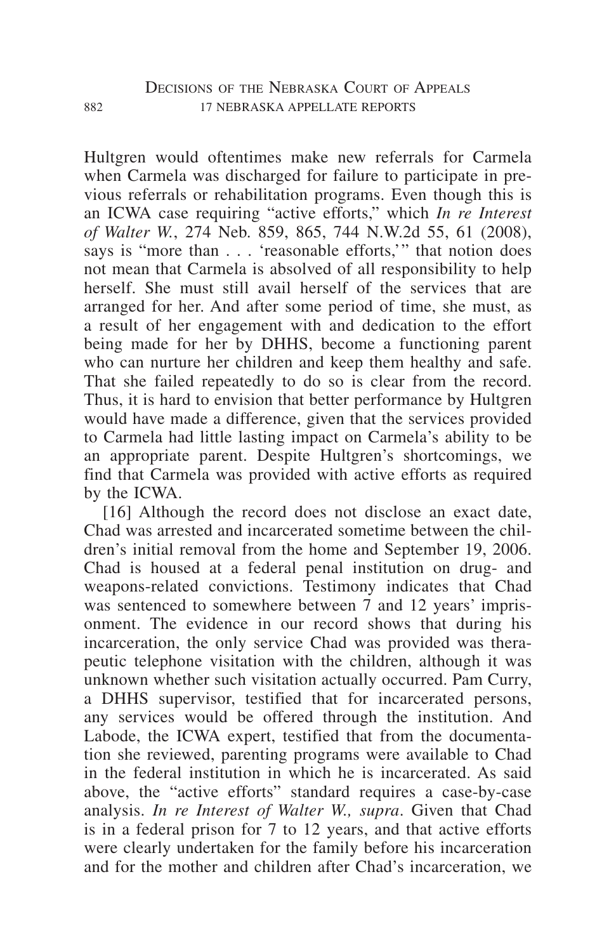Hultgren would oftentimes make new referrals for Carmela when Carmela was discharged for failure to participate in previous referrals or rehabilitation programs. Even though this is an ICWA case requiring "active efforts," which *In re Interest of Walter W.*, 274 Neb. 859, 865, 744 N.W.2d 55, 61 (2008), says is "more than . . . 'reasonable efforts,'" that notion does not mean that Carmela is absolved of all responsibility to help herself. She must still avail herself of the services that are arranged for her. And after some period of time, she must, as a result of her engagement with and dedication to the effort being made for her by DHHS, become a functioning parent who can nurture her children and keep them healthy and safe. That she failed repeatedly to do so is clear from the record. Thus, it is hard to envision that better performance by Hultgren would have made a difference, given that the services provided to Carmela had little lasting impact on Carmela's ability to be an appropriate parent. Despite Hultgren's shortcomings, we find that Carmela was provided with active efforts as required by the ICWA.

[16] Although the record does not disclose an exact date, Chad was arrested and incarcerated sometime between the children's initial removal from the home and September 19, 2006. Chad is housed at a federal penal institution on drug- and weapons-related convictions. Testimony indicates that Chad was sentenced to somewhere between 7 and 12 years' imprisonment. The evidence in our record shows that during his incarceration, the only service Chad was provided was therapeutic telephone visitation with the children, although it was unknown whether such visitation actually occurred. Pam Curry, a DHHS supervisor, testified that for incarcerated persons, any services would be offered through the institution. And Labode, the ICWA expert, testified that from the documentation she reviewed, parenting programs were available to Chad in the federal institution in which he is incarcerated. As said above, the "active efforts" standard requires a case-by-case analysis. *In re Interest of Walter W., supra*. Given that Chad is in a federal prison for 7 to 12 years, and that active efforts were clearly undertaken for the family before his incarceration and for the mother and children after Chad's incarceration, we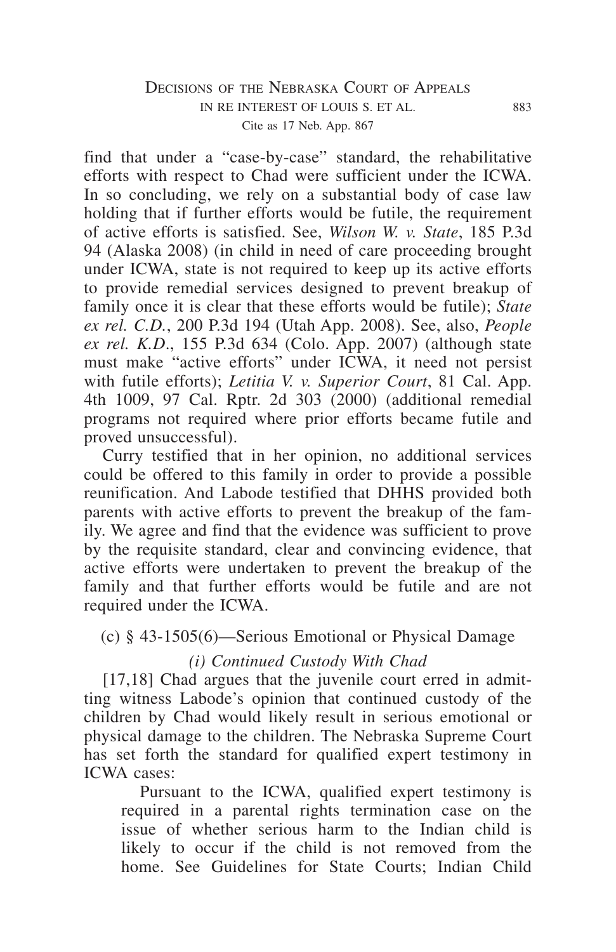## Decisions of the Nebraska Court of Appeals in re interest of louis s. et al. 883 Cite as 17 Neb. App. 867

find that under a "case-by-case" standard, the rehabilitative efforts with respect to Chad were sufficient under the ICWA. In so concluding, we rely on a substantial body of case law holding that if further efforts would be futile, the requirement of active efforts is satisfied. See, *Wilson W. v. State*, 185 P.3d 94 (Alaska 2008) (in child in need of care proceeding brought under ICWA, state is not required to keep up its active efforts to provide remedial services designed to prevent breakup of family once it is clear that these efforts would be futile); *State ex rel. C.D.*, 200 P.3d 194 (Utah App. 2008). See, also, *People ex rel. K.D*., 155 P.3d 634 (Colo. App. 2007) (although state must make "active efforts" under ICWA, it need not persist with futile efforts); *Letitia V. v. Superior Court*, 81 Cal. App. 4th 1009, 97 Cal. Rptr. 2d 303 (2000) (additional remedial programs not required where prior efforts became futile and proved unsuccessful).

Curry testified that in her opinion, no additional services could be offered to this family in order to provide a possible reunification. And Labode testified that DHHS provided both parents with active efforts to prevent the breakup of the family. We agree and find that the evidence was sufficient to prove by the requisite standard, clear and convincing evidence, that active efforts were undertaken to prevent the breakup of the family and that further efforts would be futile and are not required under the ICWA.

## (c) § 43-1505(6)—Serious Emotional or Physical Damage

## *(i) Continued Custody With Chad*

[17,18] Chad argues that the juvenile court erred in admitting witness Labode's opinion that continued custody of the children by Chad would likely result in serious emotional or physical damage to the children. The Nebraska Supreme Court has set forth the standard for qualified expert testimony in ICWA cases:

Pursuant to the ICWA, qualified expert testimony is required in a parental rights termination case on the issue of whether serious harm to the Indian child is likely to occur if the child is not removed from the home. See Guidelines for State Courts; Indian Child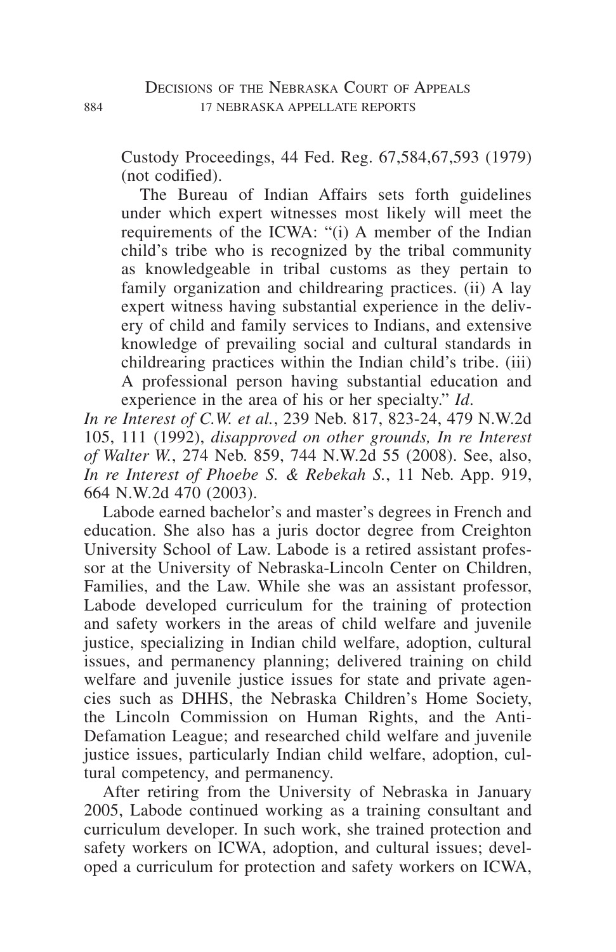Custody Proceedings, 44 Fed. Reg. 67,584,67,593 (1979) (not codified).

The Bureau of Indian Affairs sets forth guidelines under which expert witnesses most likely will meet the requirements of the ICWA: "(i) A member of the Indian child's tribe who is recognized by the tribal community as knowledgeable in tribal customs as they pertain to family organization and childrearing practices. (ii) A lay expert witness having substantial experience in the delivery of child and family services to Indians, and extensive knowledge of prevailing social and cultural standards in childrearing practices within the Indian child's tribe. (iii) A professional person having substantial education and experience in the area of his or her specialty." *Id*.

*In re Interest of C.W. et al.*, 239 Neb. 817, 823-24, 479 N.W.2d 105, 111 (1992), *disapproved on other grounds, In re Interest of Walter W.*, 274 Neb. 859, 744 N.W.2d 55 (2008). See, also, *In re Interest of Phoebe S. & Rebekah S.*, 11 Neb. App. 919, 664 N.W.2d 470 (2003).

Labode earned bachelor's and master's degrees in French and education. She also has a juris doctor degree from Creighton University School of Law. Labode is a retired assistant professor at the University of Nebraska-Lincoln Center on Children, Families, and the Law. While she was an assistant professor, Labode developed curriculum for the training of protection and safety workers in the areas of child welfare and juvenile justice, specializing in Indian child welfare, adoption, cultural issues, and permanency planning; delivered training on child welfare and juvenile justice issues for state and private agencies such as DHHS, the Nebraska Children's Home Society, the Lincoln Commission on Human Rights, and the Anti-Defamation League; and researched child welfare and juvenile justice issues, particularly Indian child welfare, adoption, cultural competency, and permanency.

After retiring from the University of Nebraska in January 2005, Labode continued working as a training consultant and curriculum developer. In such work, she trained protection and safety workers on ICWA, adoption, and cultural issues; developed a curriculum for protection and safety workers on ICWA,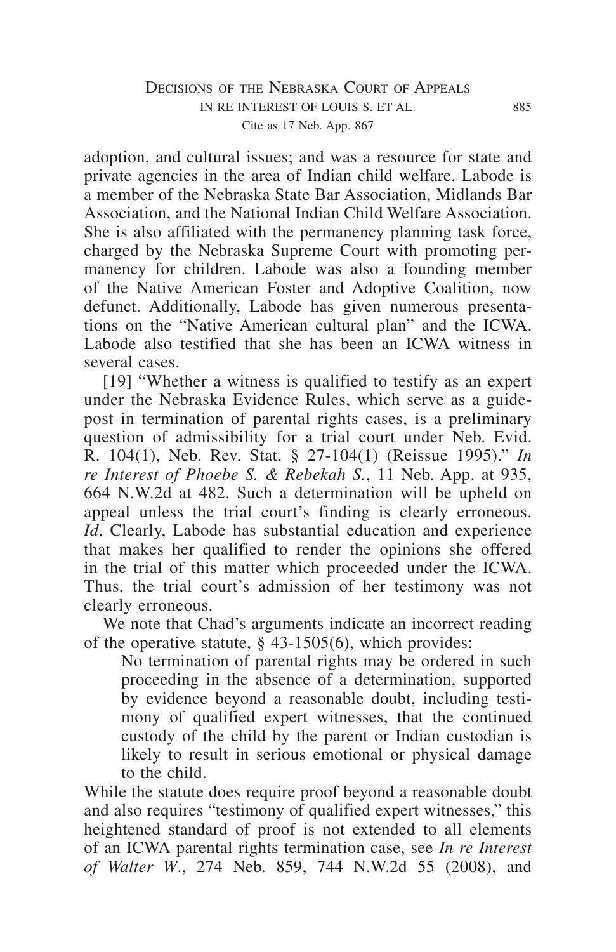# DECISIONS OF THE NEBRASKA COURT OF APPEALS in re interest of louis s. et al. 885 Cite as 17 Neb. App. 867

adoption, and cultural issues; and was a resource for state and private agencies in the area of Indian child welfare. Labode is a member of the Nebraska State Bar Association, Midlands Bar Association, and the National Indian Child Welfare Association. She is also affiliated with the permanency planning task force, charged by the Nebraska Supreme Court with promoting permanency for children. Labode was also a founding member of the Native American Foster and Adoptive Coalition, now defunct. Additionally, Labode has given numerous presentations on the "Native American cultural plan" and the ICWA. Labode also testified that she has been an ICWA witness in several cases.

[19] "Whether a witness is qualified to testify as an expert under the Nebraska Evidence Rules, which serve as a guidepost in termination of parental rights cases, is a preliminary question of admissibility for a trial court under Neb. Evid. R. 104(1), Neb. Rev. Stat. § 27-104(1) (Reissue 1995)." *In re Interest of Phoebe S. & Rebekah S.*, 11 Neb. App. at 935, 664 N.W.2d at 482. Such a determination will be upheld on appeal unless the trial court's finding is clearly erroneous. *Id*. Clearly, Labode has substantial education and experience that makes her qualified to render the opinions she offered in the trial of this matter which proceeded under the ICWA. Thus, the trial court's admission of her testimony was not clearly erroneous.

We note that Chad's arguments indicate an incorrect reading of the operative statute, § 43-1505(6), which provides:

No termination of parental rights may be ordered in such proceeding in the absence of a determination, supported by evidence beyond a reasonable doubt, including testimony of qualified expert witnesses, that the continued custody of the child by the parent or Indian custodian is likely to result in serious emotional or physical damage to the child.

While the statute does require proof beyond a reasonable doubt and also requires "testimony of qualified expert witnesses," this heightened standard of proof is not extended to all elements of an ICWA parental rights termination case, see *In re Interest of Walter W*., 274 Neb. 859, 744 N.W.2d 55 (2008), and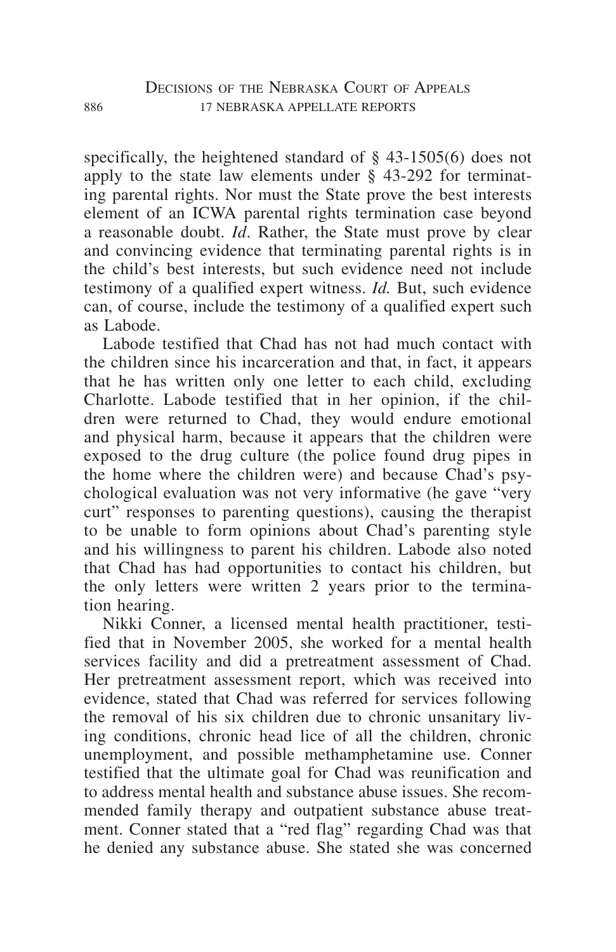specifically, the heightened standard of § 43-1505(6) does not apply to the state law elements under § 43-292 for terminating parental rights. Nor must the State prove the best interests element of an ICWA parental rights termination case beyond a reasonable doubt. *Id*. Rather, the State must prove by clear and convincing evidence that terminating parental rights is in the child's best interests, but such evidence need not include testimony of a qualified expert witness. *Id.* But, such evidence can, of course, include the testimony of a qualified expert such as Labode.

Labode testified that Chad has not had much contact with the children since his incarceration and that, in fact, it appears that he has written only one letter to each child, excluding Charlotte. Labode testified that in her opinion, if the children were returned to Chad, they would endure emotional and physical harm, because it appears that the children were exposed to the drug culture (the police found drug pipes in the home where the children were) and because Chad's psychological evaluation was not very informative (he gave "very curt" responses to parenting questions), causing the therapist to be unable to form opinions about Chad's parenting style and his willingness to parent his children. Labode also noted that Chad has had opportunities to contact his children, but the only letters were written 2 years prior to the termination hearing.

Nikki Conner, a licensed mental health practitioner, testified that in November 2005, she worked for a mental health services facility and did a pretreatment assessment of Chad. Her pretreatment assessment report, which was received into evidence, stated that Chad was referred for services following the removal of his six children due to chronic unsanitary living conditions, chronic head lice of all the children, chronic unemployment, and possible methamphetamine use. Conner testified that the ultimate goal for Chad was reunification and to address mental health and substance abuse issues. She recommended family therapy and outpatient substance abuse treatment. Conner stated that a "red flag" regarding Chad was that he denied any substance abuse. She stated she was concerned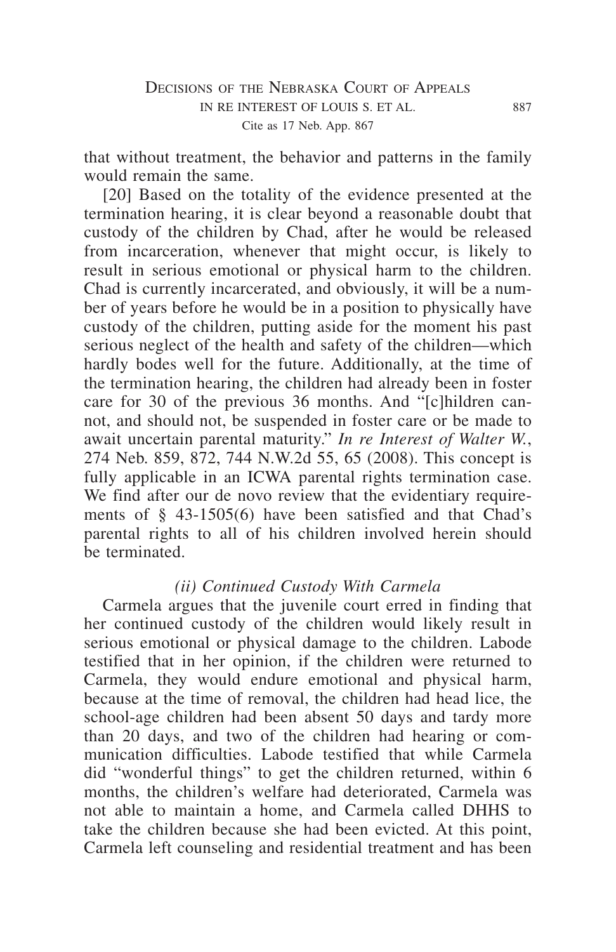that without treatment, the behavior and patterns in the family would remain the same.

[20] Based on the totality of the evidence presented at the termination hearing, it is clear beyond a reasonable doubt that custody of the children by Chad, after he would be released from incarceration, whenever that might occur, is likely to result in serious emotional or physical harm to the children. Chad is currently incarcerated, and obviously, it will be a number of years before he would be in a position to physically have custody of the children, putting aside for the moment his past serious neglect of the health and safety of the children—which hardly bodes well for the future. Additionally, at the time of the termination hearing, the children had already been in foster care for 30 of the previous 36 months. And "[c]hildren cannot, and should not, be suspended in foster care or be made to await uncertain parental maturity." *In re Interest of Walter W.*, 274 Neb. 859, 872, 744 N.W.2d 55, 65 (2008). This concept is fully applicable in an ICWA parental rights termination case. We find after our de novo review that the evidentiary requirements of § 43-1505(6) have been satisfied and that Chad's parental rights to all of his children involved herein should be terminated.

## *(ii) Continued Custody With Carmela*

Carmela argues that the juvenile court erred in finding that her continued custody of the children would likely result in serious emotional or physical damage to the children. Labode testified that in her opinion, if the children were returned to Carmela, they would endure emotional and physical harm, because at the time of removal, the children had head lice, the school-age children had been absent 50 days and tardy more than 20 days, and two of the children had hearing or communication difficulties. Labode testified that while Carmela did "wonderful things" to get the children returned, within 6 months, the children's welfare had deteriorated, Carmela was not able to maintain a home, and Carmela called DHHS to take the children because she had been evicted. At this point, Carmela left counseling and residential treatment and has been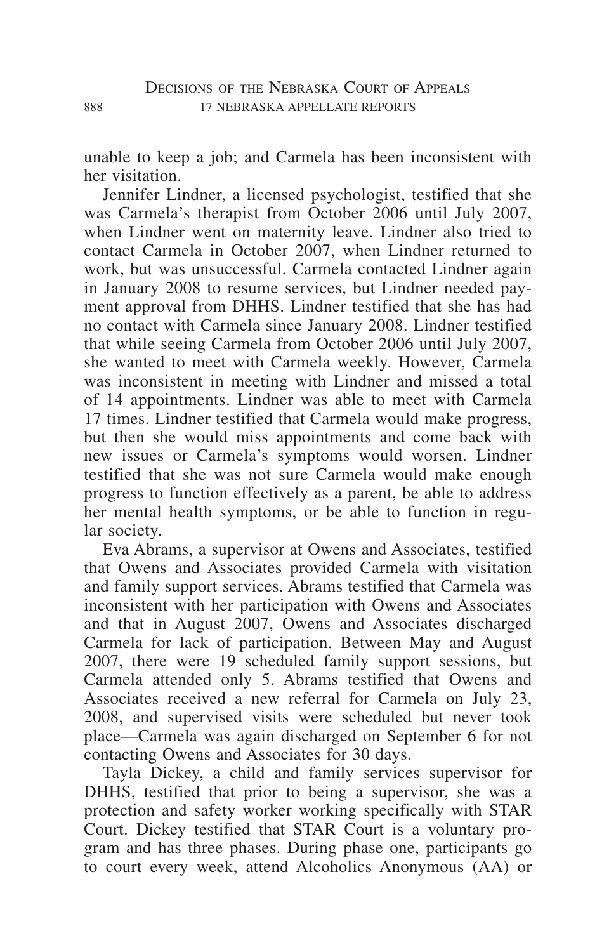unable to keep a job; and Carmela has been inconsistent with her visitation.

Jennifer Lindner, a licensed psychologist, testified that she was Carmela's therapist from October 2006 until July 2007, when Lindner went on maternity leave. Lindner also tried to contact Carmela in October 2007, when Lindner returned to work, but was unsuccessful. Carmela contacted Lindner again in January 2008 to resume services, but Lindner needed payment approval from DHHS. Lindner testified that she has had no contact with Carmela since January 2008. Lindner testified that while seeing Carmela from October 2006 until July 2007, she wanted to meet with Carmela weekly. However, Carmela was inconsistent in meeting with Lindner and missed a total of 14 appointments. Lindner was able to meet with Carmela 17 times. Lindner testified that Carmela would make progress, but then she would miss appointments and come back with new issues or Carmela's symptoms would worsen. Lindner testified that she was not sure Carmela would make enough progress to function effectively as a parent, be able to address her mental health symptoms, or be able to function in regular society.

Eva Abrams, a supervisor at Owens and Associates, testified that Owens and Associates provided Carmela with visitation and family support services. Abrams testified that Carmela was inconsistent with her participation with Owens and Associates and that in August 2007, Owens and Associates discharged Carmela for lack of participation. Between May and August 2007, there were 19 scheduled family support sessions, but Carmela attended only 5. Abrams testified that Owens and Associates received a new referral for Carmela on July 23, 2008, and supervised visits were scheduled but never took place—Carmela was again discharged on September 6 for not contacting Owens and Associates for 30 days.

Tayla Dickey, a child and family services supervisor for DHHS, testified that prior to being a supervisor, she was a protection and safety worker working specifically with STAR Court. Dickey testified that STAR Court is a voluntary program and has three phases. During phase one, participants go to court every week, attend Alcoholics Anonymous (AA) or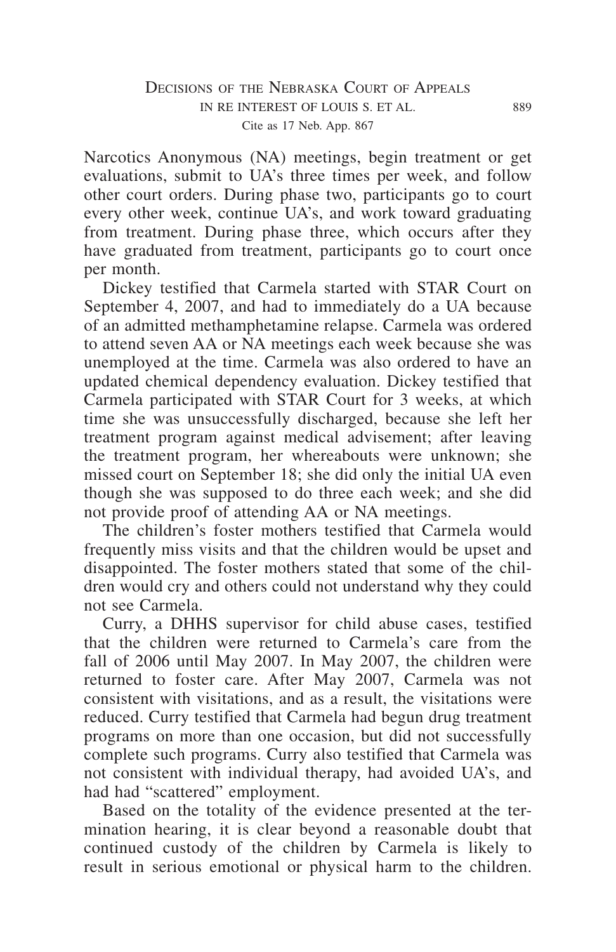Narcotics Anonymous (NA) meetings, begin treatment or get evaluations, submit to UA's three times per week, and follow other court orders. During phase two, participants go to court every other week, continue UA's, and work toward graduating from treatment. During phase three, which occurs after they have graduated from treatment, participants go to court once per month.

Dickey testified that Carmela started with STAR Court on September 4, 2007, and had to immediately do a UA because of an admitted methamphetamine relapse. Carmela was ordered to attend seven AA or NA meetings each week because she was unemployed at the time. Carmela was also ordered to have an updated chemical dependency evaluation. Dickey testified that Carmela participated with STAR Court for 3 weeks, at which time she was unsuccessfully discharged, because she left her treatment program against medical advisement; after leaving the treatment program, her whereabouts were unknown; she missed court on September 18; she did only the initial UA even though she was supposed to do three each week; and she did not provide proof of attending AA or NA meetings.

The children's foster mothers testified that Carmela would frequently miss visits and that the children would be upset and disappointed. The foster mothers stated that some of the children would cry and others could not understand why they could not see Carmela.

Curry, a DHHS supervisor for child abuse cases, testified that the children were returned to Carmela's care from the fall of 2006 until May 2007. In May 2007, the children were returned to foster care. After May 2007, Carmela was not consistent with visitations, and as a result, the visitations were reduced. Curry testified that Carmela had begun drug treatment programs on more than one occasion, but did not successfully complete such programs. Curry also testified that Carmela was not consistent with individual therapy, had avoided UA's, and had had "scattered" employment.

Based on the totality of the evidence presented at the termination hearing, it is clear beyond a reasonable doubt that continued custody of the children by Carmela is likely to result in serious emotional or physical harm to the children.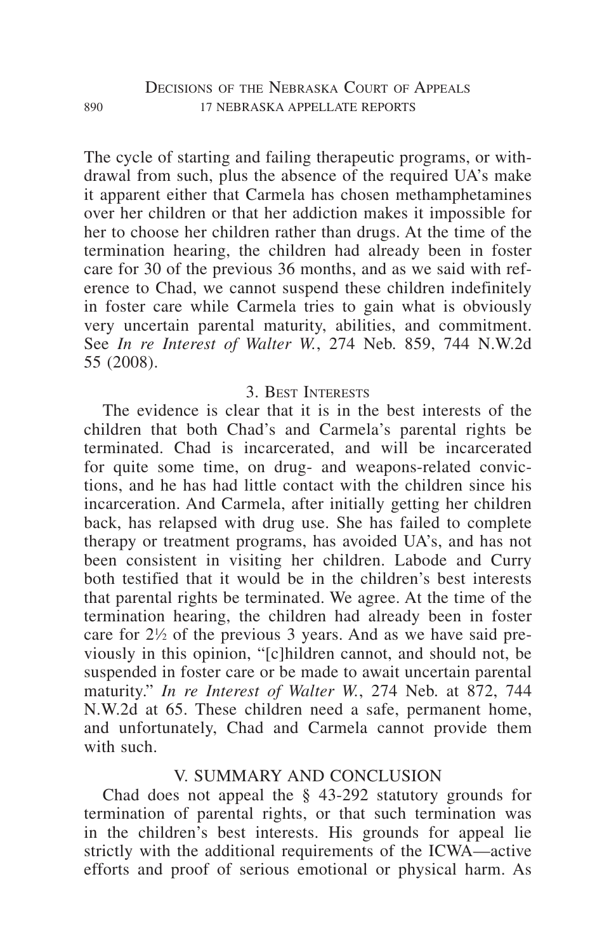The cycle of starting and failing therapeutic programs, or withdrawal from such, plus the absence of the required UA's make it apparent either that Carmela has chosen methamphetamines over her children or that her addiction makes it impossible for her to choose her children rather than drugs. At the time of the termination hearing, the children had already been in foster care for 30 of the previous 36 months, and as we said with reference to Chad, we cannot suspend these children indefinitely in foster care while Carmela tries to gain what is obviously very uncertain parental maturity, abilities, and commitment. See *In re Interest of Walter W.*, 274 Neb. 859, 744 N.W.2d 55 (2008).

# 3. Best Interests

The evidence is clear that it is in the best interests of the children that both Chad's and Carmela's parental rights be terminated. Chad is incarcerated, and will be incarcerated for quite some time, on drug- and weapons-related convictions, and he has had little contact with the children since his incarceration. And Carmela, after initially getting her children back, has relapsed with drug use. She has failed to complete therapy or treatment programs, has avoided UA's, and has not been consistent in visiting her children. Labode and Curry both testified that it would be in the children's best interests that parental rights be terminated. We agree. At the time of the termination hearing, the children had already been in foster care for  $2\frac{1}{2}$  of the previous 3 years. And as we have said previously in this opinion, "[c]hildren cannot, and should not, be suspended in foster care or be made to await uncertain parental maturity." *In re Interest of Walter W.*, 274 Neb. at 872, 744 N.W.2d at 65. These children need a safe, permanent home, and unfortunately, Chad and Carmela cannot provide them with such.

# V. SUMMARY AND CONCLUSION

Chad does not appeal the § 43-292 statutory grounds for termination of parental rights, or that such termination was in the children's best interests. His grounds for appeal lie strictly with the additional requirements of the ICWA—active efforts and proof of serious emotional or physical harm. As